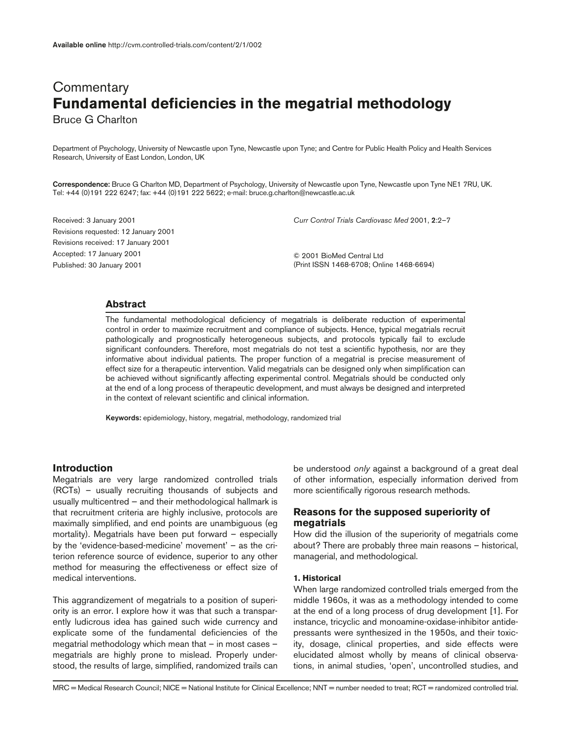# **Commentary Fundamental deficiencies in the megatrial methodology** Bruce G Charlton

Department of Psychology, University of Newcastle upon Tyne, Newcastle upon Tyne; and Centre for Public Health Policy and Health Services Research, University of East London, London, UK

**Correspondence:** Bruce G Charlton MD, Department of Psychology, University of Newcastle upon Tyne, Newcastle upon Tyne NE1 7RU, UK. Tel: +44 (0)191 222 6247; fax: +44 (0)191 222 5622; e-mail: bruce.g.charlton@newcastle.ac.uk

Received: 3 January 2001 Revisions requested: 12 January 2001 Revisions received: 17 January 2001 Accepted: 17 January 2001 Published: 30 January 2001

*Curr Control Trials Cardiovasc Med* 2001, **2**:2–7

© 2001 BioMed Central Ltd (Print ISSN 1468-6708; Online 1468-6694)

#### **Abstract**

The fundamental methodological deficiency of megatrials is deliberate reduction of experimental control in order to maximize recruitment and compliance of subjects. Hence, typical megatrials recruit pathologically and prognostically heterogeneous subjects, and protocols typically fail to exclude significant confounders. Therefore, most megatrials do not test a scientific hypothesis, nor are they informative about individual patients. The proper function of a megatrial is precise measurement of effect size for a therapeutic intervention. Valid megatrials can be designed only when simplification can be achieved without significantly affecting experimental control. Megatrials should be conducted only at the end of a long process of therapeutic development, and must always be designed and interpreted in the context of relevant scientific and clinical information.

**Keywords:** epidemiology, history, megatrial, methodology, randomized trial

# **Introduction**

Megatrials are very large randomized controlled trials (RCTs) – usually recruiting thousands of subjects and usually multicentred — and their methodological hallmark is that recruitment criteria are highly inclusive, protocols are maximally simplified, and end points are unambiguous (eg mortality). Megatrials have been put forward – especially by the 'evidence-based-medicine' movement' – as the criterion reference source of evidence, superior to any other method for measuring the effectiveness or effect size of medical interventions.

This aggrandizement of megatrials to a position of superiority is an error. I explore how it was that such a transparently ludicrous idea has gained such wide currency and explicate some of the fundamental deficiencies of the megatrial methodology which mean that – in most cases – megatrials are highly prone to mislead. Properly understood, the results of large, simplified, randomized trails can be understood *only* against a background of a great deal of other information, especially information derived from more scientifically rigorous research methods.

# **Reasons for the supposed superiority of megatrials**

How did the illusion of the superiority of megatrials come about? There are probably three main reasons – historical, managerial, and methodological.

#### **1. Historical**

When large randomized controlled trials emerged from the middle 1960s, it was as a methodology intended to come at the end of a long process of drug development [1]. For instance, tricyclic and monoamine-oxidase-inhibitor antidepressants were synthesized in the 1950s, and their toxicity, dosage, clinical properties, and side effects were elucidated almost wholly by means of clinical observations, in animal studies, 'open', uncontrolled studies, and

MRC = Medical Research Council; NICE = National Institute for Clinical Excellence; NNT = number needed to treat; RCT = randomized controlled trial.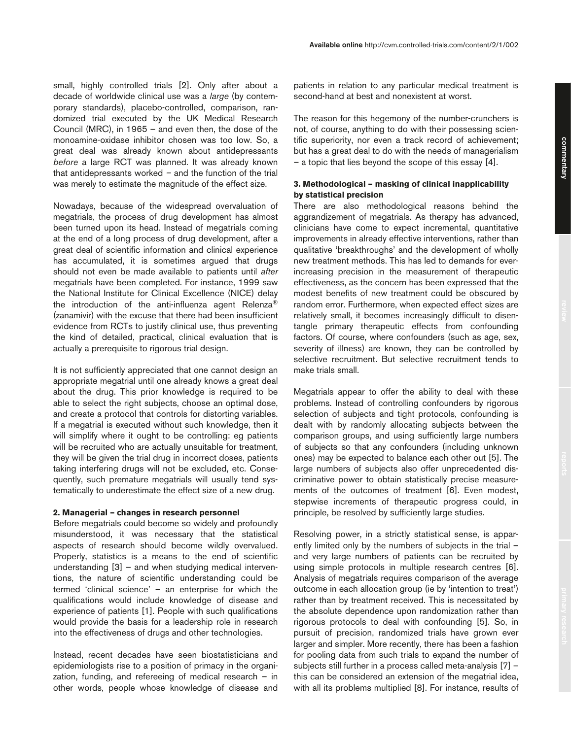small, highly controlled trials [2]. Only after about a decade of worldwide clinical use was a *large* (by contemporary standards), placebo-controlled, comparison, randomized trial executed by the UK Medical Research Council (MRC), in 1965 – and even then, the dose of the monoamine-oxidase inhibitor chosen was too low. So, a great deal was already known about antidepressants *before* a large RCT was planned. It was already known that antidepressants worked *–* and the function of the trial was merely to estimate the magnitude of the effect size.

Nowadays, because of the widespread overvaluation of megatrials, the process of drug development has almost been turned upon its head. Instead of megatrials coming at the end of a long process of drug development, after a great deal of scientific information and clinical experience has accumulated, it is sometimes argued that drugs should not even be made available to patients until *after* megatrials have been completed. For instance, 1999 saw the National Institute for Clinical Excellence (NICE) delay the introduction of the anti-influenza agent Relenza® (zanamivir) with the excuse that there had been insufficient evidence from RCTs to justify clinical use, thus preventing the kind of detailed, practical, clinical evaluation that is actually a prerequisite to rigorous trial design.

It is not sufficiently appreciated that one cannot design an appropriate megatrial until one already knows a great deal about the drug. This prior knowledge is required to be able to select the right subjects, choose an optimal dose, and create a protocol that controls for distorting variables. If a megatrial is executed without such knowledge, then it will simplify where it ought to be controlling: eg patients will be recruited who are actually unsuitable for treatment, they will be given the trial drug in incorrect doses, patients taking interfering drugs will not be excluded, etc. Consequently, such premature megatrials will usually tend systematically to underestimate the effect size of a new drug.

#### **2. Managerial – changes in research personnel**

Before megatrials could become so widely and profoundly misunderstood, it was necessary that the statistical aspects of research should become wildly overvalued. Properly, statistics is a means to the end of scientific understanding [3] – and when studying medical interventions, the nature of scientific understanding could be termed 'clinical science' – an enterprise for which the qualifications would include knowledge of disease and experience of patients [1]. People with such qualifications would provide the basis for a leadership role in research into the effectiveness of drugs and other technologies.

Instead, recent decades have seen biostatisticians and epidemiologists rise to a position of primacy in the organization, funding, and refereeing of medical research – in other words, people whose knowledge of disease and **Available online** http://cvm.controlled-trials.com/content/2/1/002

patients in relation to any particular medical treatment is second-hand at best and nonexistent at worst.

The reason for this hegemony of the number-crunchers is not, of course, anything to do with their possessing scientific superiority, nor even a track record of achievement; but has a great deal to do with the needs of managerialism – a topic that lies beyond the scope of this essay [4].

# **3. Methodological – masking of clinical inapplicability by statistical precision**

There are also methodological reasons behind the aggrandizement of megatrials. As therapy has advanced, clinicians have come to expect incremental, quantitative improvements in already effective interventions, rather than qualitative 'breakthroughs' and the development of wholly new treatment methods. This has led to demands for everincreasing precision in the measurement of therapeutic effectiveness, as the concern has been expressed that the modest benefits of new treatment could be obscured by random error. Furthermore, when expected effect sizes are relatively small, it becomes increasingly difficult to disentangle primary therapeutic effects from confounding factors. Of course, where confounders (such as age, sex, severity of illness) are known, they can be controlled by selective recruitment. But selective recruitment tends to make trials small.

Megatrials appear to offer the ability to deal with these problems. Instead of controlling confounders by rigorous selection of subjects and tight protocols, confounding is dealt with by randomly allocating subjects between the comparison groups, and using sufficiently large numbers of subjects so that any confounders (including unknown ones) may be expected to balance each other out [5]. The large numbers of subjects also offer unprecedented discriminative power to obtain statistically precise measurements of the outcomes of treatment [6]. Even modest, stepwise increments of therapeutic progress could, in principle, be resolved by sufficiently large studies.

Resolving power, in a strictly statistical sense, is apparently limited only by the numbers of subjects in the trial – and very large numbers of patients can be recruited by using simple protocols in multiple research centres [6]. Analysis of megatrials requires comparison of the average outcome in each allocation group (ie by 'intention to treat') rather than by treatment received. This is necessitated by the absolute dependence upon randomization rather than rigorous protocols to deal with confounding [5]. So, in pursuit of precision, randomized trials have grown ever larger and simpler. More recently, there has been a fashion for pooling data from such trials to expand the number of subjects still further in a process called meta-analysis [7] – this can be considered an extension of the megatrial idea, with all its problems multiplied [8]. For instance, results of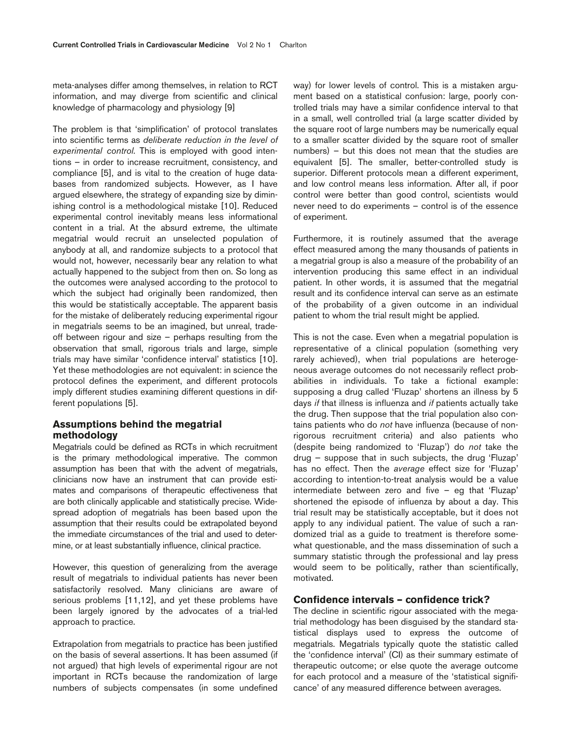meta-analyses differ among themselves, in relation to RCT information, and may diverge from scientific and clinical knowledge of pharmacology and physiology [9]

The problem is that 'simplification' of protocol translates into scientific terms as *deliberate reduction in the level of experimental control*. This is employed with good intentions – in order to increase recruitment, consistency, and compliance [5], and is vital to the creation of huge databases from randomized subjects. However, as I have argued elsewhere, the strategy of expanding size by diminishing control is a methodological mistake [10]. Reduced experimental control inevitably means less informational content in a trial. At the absurd extreme, the ultimate megatrial would recruit an unselected population of anybody at all, and randomize subjects to a protocol that would not, however, necessarily bear any relation to what actually happened to the subject from then on. So long as the outcomes were analysed according to the protocol to which the subject had originally been randomized, then this would be statistically acceptable. The apparent basis for the mistake of deliberately reducing experimental rigour in megatrials seems to be an imagined, but unreal, tradeoff between rigour and size – perhaps resulting from the observation that small, rigorous trials and large, simple trials may have similar 'confidence interval' statistics [10]. Yet these methodologies are not equivalent: in science the protocol defines the experiment, and different protocols imply different studies examining different questions in different populations [5].

# **Assumptions behind the megatrial methodology**

Megatrials could be defined as RCTs in which recruitment is the primary methodological imperative. The common assumption has been that with the advent of megatrials, clinicians now have an instrument that can provide estimates and comparisons of therapeutic effectiveness that are both clinically applicable and statistically precise. Widespread adoption of megatrials has been based upon the assumption that their results could be extrapolated beyond the immediate circumstances of the trial and used to determine, or at least substantially influence, clinical practice.

However, this question of generalizing from the average result of megatrials to individual patients has never been satisfactorily resolved. Many clinicians are aware of serious problems [11,12], and yet these problems have been largely ignored by the advocates of a trial-led approach to practice.

Extrapolation from megatrials to practice has been justified on the basis of several assertions. It has been assumed (if not argued) that high levels of experimental rigour are not important in RCTs because the randomization of large numbers of subjects compensates (in some undefined

way) for lower levels of control. This is a mistaken argument based on a statistical confusion: large, poorly controlled trials may have a similar confidence interval to that in a small, well controlled trial (a large scatter divided by the square root of large numbers may be numerically equal to a smaller scatter divided by the square root of smaller numbers) – but this does not mean that the studies are equivalent [5]. The smaller, better-controlled study is superior. Different protocols mean a different experiment, and low control means less information. After all, if poor control were better than good control, scientists would never need to do experiments – control is of the essence of experiment.

Furthermore, it is routinely assumed that the average effect measured among the many thousands of patients in a megatrial group is also a measure of the probability of an intervention producing this same effect in an individual patient. In other words, it is assumed that the megatrial result and its confidence interval can serve as an estimate of the probability of a given outcome in an individual patient to whom the trial result might be applied.

This is not the case. Even when a megatrial population is representative of a clinical population (something very rarely achieved), when trial populations are heterogeneous average outcomes do not necessarily reflect probabilities in individuals. To take a fictional example: supposing a drug called 'Fluzap' shortens an illness by 5 days *if* that illness is influenza and *if* patients actually take the drug. Then suppose that the trial population also contains patients who do *not* have influenza (because of nonrigorous recruitment criteria) and also patients who (despite being randomized to 'Fluzap') do *not* take the drug — suppose that in such subjects, the drug 'Fluzap' has no effect. Then the *average* effect size for 'Fluzap' according to intention-to-treat analysis would be a value intermediate between zero and five – eg that 'Fluzap' shortened the episode of influenza by about a day. This trial result may be statistically acceptable, but it does not apply to any individual patient. The value of such a randomized trial as a guide to treatment is therefore somewhat questionable, and the mass dissemination of such a summary statistic through the professional and lay press would seem to be politically, rather than scientifically, motivated.

# **Confidence intervals – confidence trick?**

The decline in scientific rigour associated with the megatrial methodology has been disguised by the standard statistical displays used to express the outcome of megatrials. Megatrials typically quote the statistic called the 'confidence interval' (CI) as their summary estimate of therapeutic outcome; or else quote the average outcome for each protocol and a measure of the 'statistical significance' of any measured difference between averages.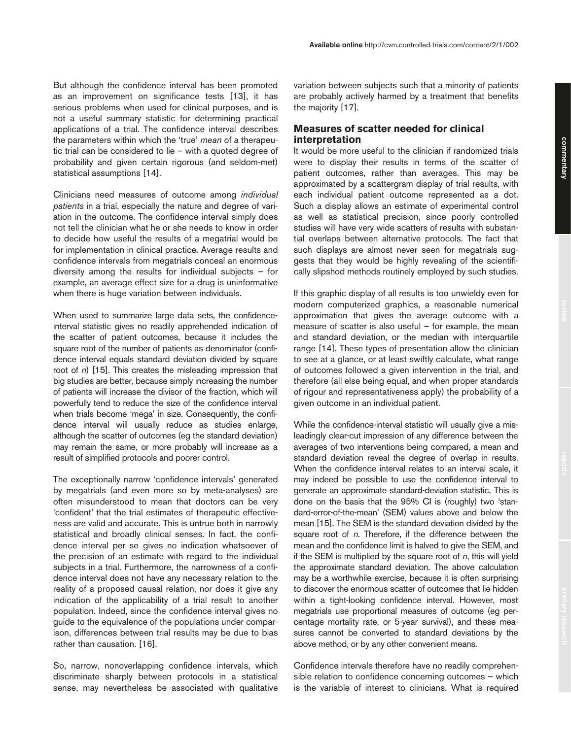But although the confidence interval has been promoted as an improvement on significance tests [13], it has serious problems when used for clinical purposes, and is not a useful summary statistic for determining practical applications of a trial. The confidence interval describes the parameters within which the 'true' *mean* of a therapeutic trial can be considered to lie – with a quoted degree of probability and given certain rigorous (and seldom-met) statistical assumptions [14].

Clinicians need measures of outcome among *individual patients* in a trial, especially the nature and degree of variation in the outcome. The confidence interval simply does not tell the clinician what he or she needs to know in order to decide how useful the results of a megatrial would be for implementation in clinical practice. Average results and confidence intervals from megatrials conceal an enormous diversity among the results for individual subjects – for example, an average effect size for a drug is uninformative when there is huge variation between individuals.

When used to summarize large data sets, the confidenceinterval statistic gives no readily apprehended indication of the scatter of patient outcomes, because it includes the square root of the number of patients as denominator (confidence interval equals standard deviation divided by square root of *n*) [15]. This creates the misleading impression that big studies are better, because simply increasing the number of patients will increase the divisor of the fraction, which will powerfully tend to reduce the size of the confidence interval when trials become 'mega' in size. Consequently, the confidence interval will usually reduce as studies enlarge, although the scatter of outcomes (eg the standard deviation) may remain the same, or more probably will increase as a result of simplified protocols and poorer control.

The exceptionally narrow 'confidence intervals' generated by megatrials (and even more so by meta-analyses) are often misunderstood to mean that doctors can be very 'confident' that the trial estimates of therapeutic effectiveness are valid and accurate. This is untrue both in narrowly statistical and broadly clinical senses. In fact, the confidence interval per se gives no indication whatsoever of the precision of an estimate with regard to the individual subjects in a trial. Furthermore, the narrowness of a confidence interval does not have any necessary relation to the reality of a proposed causal relation, nor does it give any indication of the applicability of a trial result to another population. Indeed, since the confidence interval gives no guide to the equivalence of the populations under comparison, differences between trial results may be due to bias rather than causation. [16].

So, narrow, nonoverlapping confidence intervals, which discriminate sharply between protocols in a statistical sense, may nevertheless be associated with qualitative

variation between subjects such that a minority of patients are probably actively harmed by a treatment that benefits the majority [17].

# **Measures of scatter needed for clinical interpretation**

It would be more useful to the clinician if randomized trials were to display their results in terms of the scatter of patient outcomes, rather than averages. This may be approximated by a scattergram display of trial results, with each individual patient outcome represented as a dot. Such a display allows an estimate of experimental control as well as statistical precision, since poorly controlled studies will have very wide scatters of results with substantial overlaps between alternative protocols. The fact that such displays are almost never seen for megatrials suggests that they would be highly revealing of the scientifically slipshod methods routinely employed by such studies.

If this graphic display of all results is too unwieldy even for modern computerized graphics, a reasonable numerical approximation that gives the average outcome with a measure of scatter is also useful – for example, the mean and standard deviation, or the median with interquartile range [14]. These types of presentation allow the clinician to see at a glance, or at least swiftly calculate, what range of outcomes followed a given intervention in the trial, and therefore (all else being equal, and when proper standards of rigour and representativeness apply) the probability of a given outcome in an individual patient.

While the confidence-interval statistic will usually give a misleadingly clear-cut impression of any difference between the averages of two interventions being compared, a mean and standard deviation reveal the degree of overlap in results. When the confidence interval relates to an interval scale, it may indeed be possible to use the confidence interval to generate an approximate standard-deviation statistic. This is done on the basis that the 95% CI is (roughly) two 'standard-error-of-the-mean' (SEM) values above and below the mean [15]. The SEM is the standard deviation divided by the square root of *n*. Therefore, if the difference between the mean and the confidence limit is halved to give the SEM, and if the SEM is multiplied by the square root of *n*, this will yield the approximate standard deviation. The above calculation may be a worthwhile exercise, because it is often surprising to discover the enormous scatter of outcomes that lie hidden within a tight-looking confidence interval. However, most megatrials use proportional measures of outcome (eg percentage mortality rate, or 5-year survival), and these measures cannot be converted to standard deviations by the above method, or by any other convenient means.

Confidence intervals therefore have no readily comprehensible relation to confidence concerning outcomes – which is the variable of interest to clinicians. What is required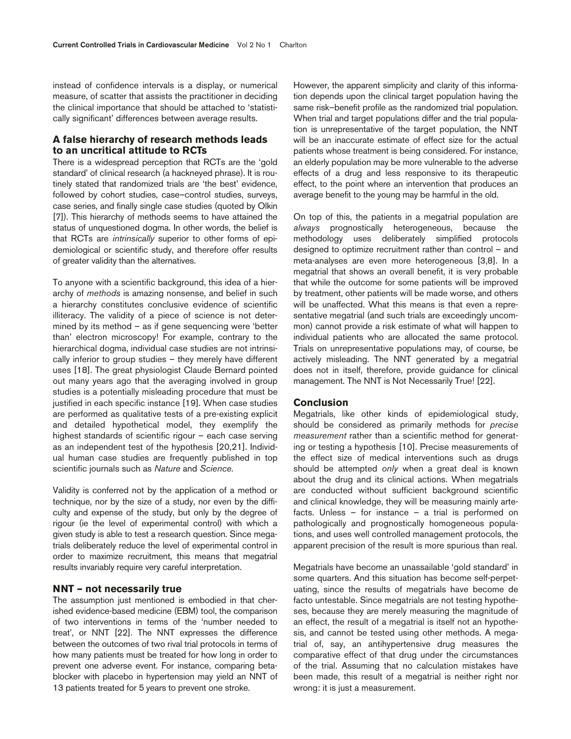instead of confidence intervals is a display, or numerical measure, of scatter that assists the practitioner in deciding the clinical importance that should be attached to 'statistically significant' differences between average results.

# **A false hierarchy of research methods leads to an uncritical attitude to RCTs**

There is a widespread perception that RCTs are the 'gold standard' of clinical research (a hackneyed phrase). It is routinely stated that randomized trials are 'the best' evidence, followed by cohort studies, case–control studies, surveys, case series, and finally single case studies (quoted by Olkin [7]). This hierarchy of methods seems to have attained the status of unquestioned dogma. In other words, the belief is that RCTs are *intrinsically* superior to other forms of epidemiological or scientific study, and therefore offer results of greater validity than the alternatives.

To anyone with a scientific background, this idea of a hierarchy of *methods* is amazing nonsense, and belief in such a hierarchy constitutes conclusive evidence of scientific illiteracy. The validity of a piece of science is not determined by its method – as if gene sequencing were 'better than' electron microscopy! For example, contrary to the hierarchical dogma, individual case studies are not intrinsically inferior to group studies – they merely have different uses [18]. The great physiologist Claude Bernard pointed out many years ago that the averaging involved in group studies is a potentially misleading procedure that must be justified in each specific instance [19]. When case studies are performed as qualitative tests of a pre-existing explicit and detailed hypothetical model, they exemplify the highest standards of scientific rigour – each case serving as an independent test of the hypothesis [20,21]. Individual human case studies are frequently published in top scientific journals such as *Nature* and *Science*.

Validity is conferred not by the application of a method or technique, nor by the size of a study, nor even by the difficulty and expense of the study, but only by the degree of rigour (ie the level of experimental control) with which a given study is able to test a research question. Since megatrials deliberately reduce the level of experimental control in order to maximize recruitment, this means that megatrial results invariably require very careful interpretation.

#### **NNT – not necessarily true**

The assumption just mentioned is embodied in that cherished evidence-based medicine (EBM) tool, the comparison of two interventions in terms of the 'number needed to treat', or NNT [22]. The NNT expresses the difference between the outcomes of two rival trial protocols in terms of how many patients must be treated for how long in order to prevent one adverse event. For instance, comparing betablocker with placebo in hypertension may yield an NNT of 13 patients treated for 5 years to prevent one stroke.

However, the apparent simplicity and clarity of this information depends upon the clinical target population having the same risk–benefit profile as the randomized trial population. When trial and target populations differ and the trial population is unrepresentative of the target population, the NNT will be an inaccurate estimate of effect size for the actual patients whose treatment is being considered. For instance, an elderly population may be more vulnerable to the adverse effects of a drug and less responsive to its therapeutic effect, to the point where an intervention that produces an average benefit to the young may be harmful in the old.

On top of this, the patients in a megatrial population are *always* prognostically heterogeneous, because the methodology uses deliberately simplified protocols designed to optimize recruitment rather than control – and meta-analyses are even more heterogeneous [3,8]. In a megatrial that shows an overall benefit, it is very probable that while the outcome for some patients will be improved by treatment, other patients will be made worse, and others will be unaffected. What this means is that even a representative megatrial (and such trials are exceedingly uncommon) cannot provide a risk estimate of what will happen to individual patients who are allocated the same protocol. Trials on unrepresentative populations may, of course, be actively misleading. The NNT generated by a megatrial does not in itself, therefore, provide guidance for clinical management. The NNT is Not Necessarily True! [22].

# **Conclusion**

Megatrials, like other kinds of epidemiological study, should be considered as primarily methods for *precise measurement* rather than a scientific method for generating or testing a hypothesis [10]. Precise measurements of the effect size of medical interventions such as drugs should be attempted *only* when a great deal is known about the drug and its clinical actions. When megatrials are conducted without sufficient background scientific and clinical knowledge, they will be measuring mainly artefacts. Unless – for instance – a trial is performed on pathologically and prognostically homogeneous populations, and uses well controlled management protocols, the apparent precision of the result is more spurious than real.

Megatrials have become an unassailable 'gold standard' in some quarters. And this situation has become self-perpetuating, since the results of megatrials have become de facto untestable. Since megatrials are not testing hypotheses, because they are merely measuring the magnitude of an effect, the result of a megatrial is itself not an hypothesis, and cannot be tested using other methods. A megatrial of, say, an antihypertensive drug measures the comparative effect of that drug under the circumstances of the trial. Assuming that no calculation mistakes have been made, this result of a megatrial is neither right nor wrong: it is just a measurement.